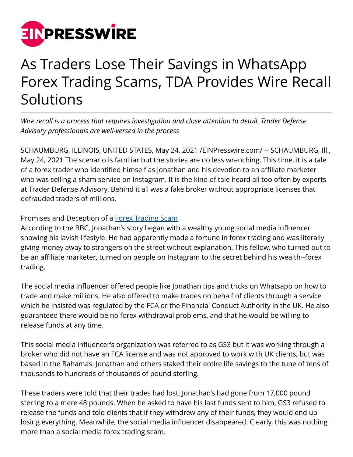

## As Traders Lose Their Savings in WhatsApp Forex Trading Scams, TDA Provides Wire Recall Solutions

*Wire recall is a process that requires investigation and close attention to detail. Trader Defense Advisory professionals are well-versed in the process*

SCHAUMBURG, ILLINOIS, UNITED STATES, May 24, 2021 /[EINPresswire.com](http://www.einpresswire.com)/ -- SCHAUMBURG, Ill., May 24, 2021 The scenario is familiar but the stories are no less wrenching. This time, it is a tale of a forex trader who identified himself as Jonathan and his devotion to an affiliate marketer who was selling a sham service on Instagram. It is the kind of tale heard all too often by experts at Trader Defense Advisory. Behind it all was a fake broker without appropriate licenses that defrauded traders of millions.

## Promises and Deception of a [Forex Trading Scam](https://traderdefenseadvisory.com/online-scams/forex-trading-scam/)

According to the BBC, Jonathan's story began with a wealthy young social media influencer showing his lavish lifestyle. He had apparently made a fortune in forex trading and was literally giving money away to strangers on the street without explanation. This fellow, who turned out to be an affiliate marketer, turned on people on Instagram to the secret behind his wealth--forex trading.

The social media influencer offered people like Jonathan tips and tricks on Whatsapp on how to trade and make millions. He also offered to make trades on behalf of clients through a service which he insisted was regulated by the FCA or the Financial Conduct Authority in the UK. He also guaranteed there would be no forex withdrawal problems, and that he would be willing to release funds at any time.

This social media influencer's organization was referred to as GS3 but it was working through a broker who did not have an FCA license and was not approved to work with UK clients, but was based in the Bahamas. Jonathan and others staked their entire life savings to the tune of tens of thousands to hundreds of thousands of pound sterling.

These traders were told that their trades had lost. Jonathan's had gone from 17,000 pound sterling to a mere 48 pounds. When he asked to have his last funds sent to him, GS3 refused to release the funds and told clients that if they withdrew any of their funds, they would end up losing everything. Meanwhile, the social media influencer disappeared. Clearly, this was nothing more than a social media forex trading scam.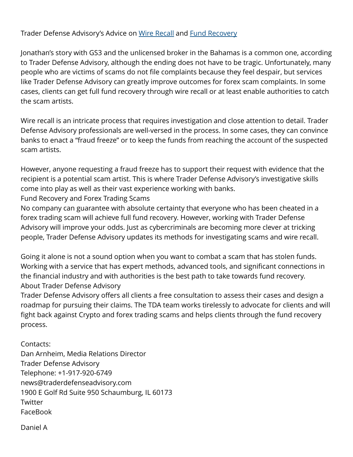## Trader Defense Advisory's Advice on [Wire Recall](https://traderdefenseadvisory.com/recover-your-funds/fund-recovery-process/) and [Fund Recovery](https://traderdefenseadvisory.com/recover-your-funds/what-fund-recovery-services-can-do-for-you/)

Jonathan's story with GS3 and the unlicensed broker in the Bahamas is a common one, according to Trader Defense Advisory, although the ending does not have to be tragic. Unfortunately, many people who are victims of scams do not file complaints because they feel despair, but services like Trader Defense Advisory can greatly improve outcomes for forex scam complaints. In some cases, clients can get full fund recovery through wire recall or at least enable authorities to catch the scam artists.

Wire recall is an intricate process that requires investigation and close attention to detail. Trader Defense Advisory professionals are well-versed in the process. In some cases, they can convince banks to enact a "fraud freeze" or to keep the funds from reaching the account of the suspected scam artists.

However, anyone requesting a fraud freeze has to support their request with evidence that the recipient is a potential scam artist. This is where Trader Defense Advisory's investigative skills come into play as well as their vast experience working with banks.

Fund Recovery and Forex Trading Scams

No company can guarantee with absolute certainty that everyone who has been cheated in a forex trading scam will achieve full fund recovery. However, working with Trader Defense Advisory will improve your odds. Just as cybercriminals are becoming more clever at tricking people, Trader Defense Advisory updates its methods for investigating scams and wire recall.

Going it alone is not a sound option when you want to combat a scam that has stolen funds. Working with a service that has expert methods, advanced tools, and significant connections in the financial industry and with authorities is the best path to take towards fund recovery. About Trader Defense Advisory

Trader Defense Advisory offers all clients a free consultation to assess their cases and design a roadmap for pursuing their claims. The TDA team works tirelessly to advocate for clients and will fight back against Crypto and forex trading scams and helps clients through the fund recovery process.

Contacts: Dan Arnheim, Media Relations Director Trader Defense Advisory Telephone: +1-917-920-6749 news@traderdefenseadvisory.com 1900 E Golf Rd Suite 950 Schaumburg, IL 60173 **Twitter** FaceBook

Daniel A